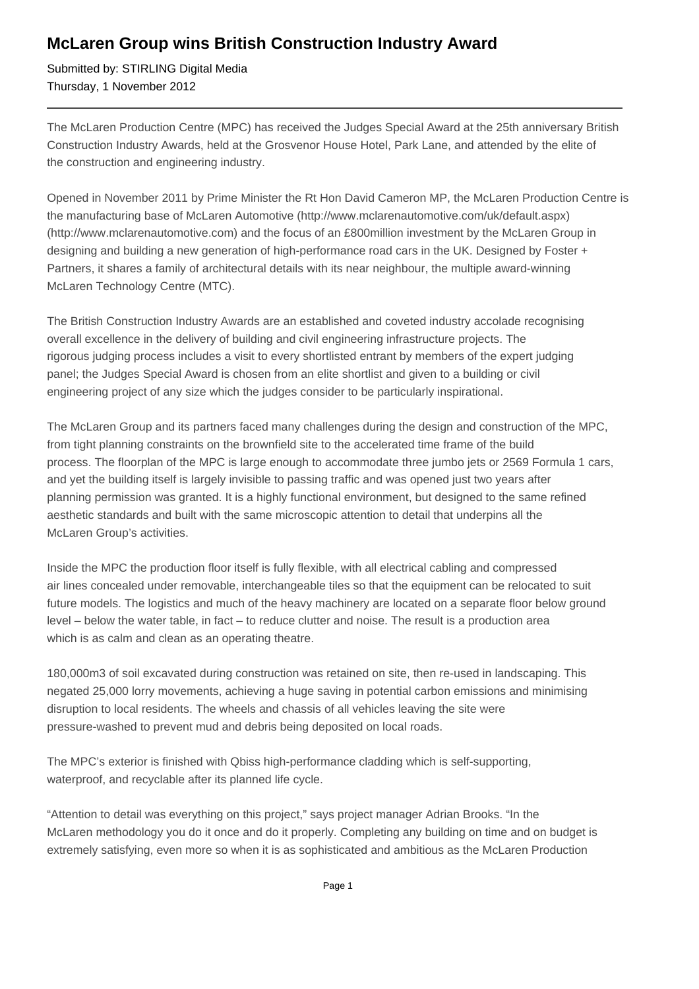## **McLaren Group wins British Construction Industry Award**

Submitted by: STIRLING Digital Media Thursday, 1 November 2012

The McLaren Production Centre (MPC) has received the Judges Special Award at the 25th anniversary British Construction Industry Awards, held at the Grosvenor House Hotel, Park Lane, and attended by the elite of the construction and engineering industry.

Opened in November 2011 by Prime Minister the Rt Hon David Cameron MP, the McLaren Production Centre is the manufacturing base of McLaren Automotive (http://www.mclarenautomotive.com/uk/default.aspx) (http://www.mclarenautomotive.com) and the focus of an £800million investment by the McLaren Group in designing and building a new generation of high-performance road cars in the UK. Designed by Foster + Partners, it shares a family of architectural details with its near neighbour, the multiple award-winning McLaren Technology Centre (MTC).

The British Construction Industry Awards are an established and coveted industry accolade recognising overall excellence in the delivery of building and civil engineering infrastructure projects. The rigorous judging process includes a visit to every shortlisted entrant by members of the expert judging panel; the Judges Special Award is chosen from an elite shortlist and given to a building or civil engineering project of any size which the judges consider to be particularly inspirational.

The McLaren Group and its partners faced many challenges during the design and construction of the MPC, from tight planning constraints on the brownfield site to the accelerated time frame of the build process. The floorplan of the MPC is large enough to accommodate three jumbo jets or 2569 Formula 1 cars, and yet the building itself is largely invisible to passing traffic and was opened just two years after planning permission was granted. It is a highly functional environment, but designed to the same refined aesthetic standards and built with the same microscopic attention to detail that underpins all the McLaren Group's activities.

Inside the MPC the production floor itself is fully flexible, with all electrical cabling and compressed air lines concealed under removable, interchangeable tiles so that the equipment can be relocated to suit future models. The logistics and much of the heavy machinery are located on a separate floor below ground level – below the water table, in fact – to reduce clutter and noise. The result is a production area which is as calm and clean as an operating theatre.

180,000m3 of soil excavated during construction was retained on site, then re-used in landscaping. This negated 25,000 lorry movements, achieving a huge saving in potential carbon emissions and minimising disruption to local residents. The wheels and chassis of all vehicles leaving the site were pressure-washed to prevent mud and debris being deposited on local roads.

The MPC's exterior is finished with Qbiss high-performance cladding which is self-supporting, waterproof, and recyclable after its planned life cycle.

"Attention to detail was everything on this project," says project manager Adrian Brooks. "In the McLaren methodology you do it once and do it properly. Completing any building on time and on budget is extremely satisfying, even more so when it is as sophisticated and ambitious as the McLaren Production